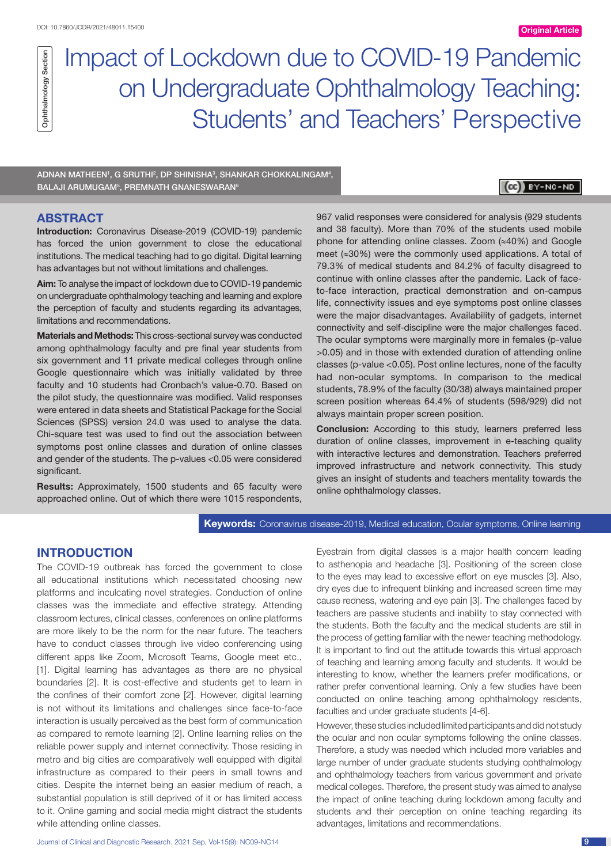# Impact of Lockdown due to COVID-19 Pandemic on Undergraduate Ophthalmology Teaching: Students' and Teachers' Perspective

ADNAN MATHEEN', G SRUTHI<del>'</del>, DP SHINISHA<sup>3</sup>, SHANKAR CHOKKALINGAM<del>'</del>, BALAJI ARUMUGAM<sup>5</sup>, PREMNATH GNANESWARAN<sup>6</sup>

# (CC) BY-NC-ND

# **ABSTRACT**

Ophthalmology Section

Ophthalmology Section

**Introduction:** Coronavirus Disease-2019 (COVID-19) pandemic has forced the union government to close the educational institutions. The medical teaching had to go digital. Digital learning has advantages but not without limitations and challenges.

**Aim:** To analyse the impact of lockdown due to COVID-19 pandemic on undergraduate ophthalmology teaching and learning and explore the perception of faculty and students regarding its advantages, limitations and recommendations.

**Materials and Methods:** This cross-sectional survey was conducted among ophthalmology faculty and pre final year students from six government and 11 private medical colleges through online Google questionnaire which was initially validated by three faculty and 10 students had Cronbach's value-0.70. Based on the pilot study, the questionnaire was modified. Valid responses were entered in data sheets and Statistical Package for the Social Sciences (SPSS) version 24.0 was used to analyse the data. Chi-square test was used to find out the association between symptoms post online classes and duration of online classes and gender of the students. The p-values <0.05 were considered significant.

**Results:** Approximately, 1500 students and 65 faculty were approached online. Out of which there were 1015 respondents, 967 valid responses were considered for analysis (929 students and 38 faculty). More than 70% of the students used mobile phone for attending online classes. Zoom (≈40%) and Google meet (≈30%) were the commonly used applications. A total of 79.3% of medical students and 84.2% of faculty disagreed to continue with online classes after the pandemic. Lack of faceto-face interaction, practical demonstration and on-campus life, connectivity issues and eye symptoms post online classes were the major disadvantages. Availability of gadgets, internet connectivity and self-discipline were the major challenges faced. The ocular symptoms were marginally more in females (p-value >0.05) and in those with extended duration of attending online classes (p-value <0.05). Post online lectures, none of the faculty had non-ocular symptoms. In comparison to the medical students, 78.9% of the faculty (30/38) always maintained proper screen position whereas 64.4% of students (598/929) did not always maintain proper screen position.

**Conclusion:** According to this study, learners preferred less duration of online classes, improvement in e-teaching quality with interactive lectures and demonstration. Teachers preferred improved infrastructure and network connectivity. This study gives an insight of students and teachers mentality towards the online ophthalmology classes.

## **Keywords:** Coronavirus disease-2019, Medical education, Ocular symptoms, Online learning

# **INTRODUCTION**

The COVID-19 outbreak has forced the government to close all educational institutions which necessitated choosing new platforms and inculcating novel strategies. Conduction of online classes was the immediate and effective strategy. Attending classroom lectures, clinical classes, conferences on online platforms are more likely to be the norm for the near future. The teachers have to conduct classes through live video conferencing using different apps like Zoom, Microsoft Teams, Google meet etc., [1]. Digital learning has advantages as there are no physical boundaries [2]. It is cost-effective and students get to learn in the confines of their comfort zone [2]. However, digital learning is not without its limitations and challenges since face-to-face interaction is usually perceived as the best form of communication as compared to remote learning [2]. Online learning relies on the reliable power supply and internet connectivity. Those residing in metro and big cities are comparatively well equipped with digital infrastructure as compared to their peers in small towns and cities. Despite the internet being an easier medium of reach, a substantial population is still deprived of it or has limited access to it. Online gaming and social media might distract the students while attending online classes.

Eyestrain from digital classes is a major health concern leading to asthenopia and headache [3]. Positioning of the screen close to the eyes may lead to excessive effort on eye muscles [3]. Also, dry eyes due to infrequent blinking and increased screen time may cause redness, watering and eye pain [3]. The challenges faced by teachers are passive students and inability to stay connected with the students. Both the faculty and the medical students are still in the process of getting familiar with the newer teaching methodology. It is important to find out the attitude towards this virtual approach of teaching and learning among faculty and students. It would be interesting to know, whether the learners prefer modifications, or rather prefer conventional learning. Only a few studies have been conducted on online teaching among ophthalmology residents, faculties and under graduate students [4-6].

However, these studies included limited participants and did not study the ocular and non ocular symptoms following the online classes. Therefore, a study was needed which included more variables and large number of under graduate students studying ophthalmology and ophthalmology teachers from various government and private medical colleges. Therefore, the present study was aimed to analyse the impact of online teaching during lockdown among faculty and students and their perception on online teaching regarding its advantages, limitations and recommendations.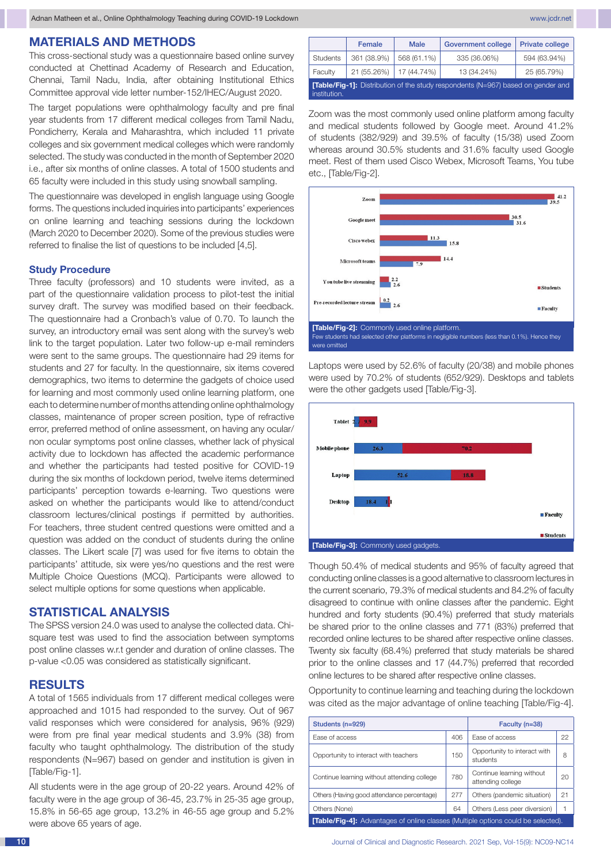### **MATERIALS AND METHODS**

This cross-sectional study was a questionnaire based online survey conducted at Chettinad Academy of Research and Education, Chennai, Tamil Nadu, India, after obtaining Institutional Ethics Committee approval vide letter number-152/IHEC/August 2020.

The target populations were ophthalmology faculty and pre final year students from 17 different medical colleges from Tamil Nadu, Pondicherry, Kerala and Maharashtra, which included 11 private colleges and six government medical colleges which were randomly selected. The study was conducted in the month of September 2020 i.e., after six months of online classes. A total of 1500 students and 65 faculty were included in this study using snowball sampling.

The questionnaire was developed in english language using Google forms. The questions included inquiries into participants' experiences on online learning and teaching sessions during the lockdown (March 2020 to December 2020). Some of the previous studies were referred to finalise the list of questions to be included [4,5].

#### **Study Procedure**

Three faculty (professors) and 10 students were invited, as a part of the questionnaire validation process to pilot-test the initial survey draft. The survey was modified based on their feedback. The questionnaire had a Cronbach's value of 0.70. To launch the survey, an introductory email was sent along with the survey's web link to the target population. Later two follow-up e-mail reminders were sent to the same groups. The questionnaire had 29 items for students and 27 for faculty. In the questionnaire, six items covered demographics, two items to determine the gadgets of choice used for learning and most commonly used online learning platform, one each to determine number of months attending online ophthalmology classes, maintenance of proper screen position, type of refractive error, preferred method of online assessment, on having any ocular/ non ocular symptoms post online classes, whether lack of physical activity due to lockdown has affected the academic performance and whether the participants had tested positive for COVID-19 during the six months of lockdown period, twelve items determined participants' perception towards e-learning. Two questions were asked on whether the participants would like to attend/conduct classroom lectures/clinical postings if permitted by authorities. For teachers, three student centred questions were omitted and a question was added on the conduct of students during the online classes. The Likert scale [7] was used for five items to obtain the participants' attitude, six were yes/no questions and the rest were Multiple Choice Questions (MCQ). Participants were allowed to select multiple options for some questions when applicable.

# **STATISTICAL ANALYSIS**

The SPSS version 24.0 was used to analyse the collected data. Chisquare test was used to find the association between symptoms post online classes w.r.t gender and duration of online classes. The p-value <0.05 was considered as statistically significant.

## **RESULTS**

A total of 1565 individuals from 17 different medical colleges were approached and 1015 had responded to the survey. Out of 967 valid responses which were considered for analysis, 96% (929) were from pre final year medical students and 3.9% (38) from faculty who taught ophthalmology. The distribution of the study respondents (N=967) based on gender and institution is given in [Table/Fig-1].

All students were in the age group of 20-22 years. Around 42% of faculty were in the age group of 36-45, 23.7% in 25-35 age group, 15.8% in 56-65 age group, 13.2% in 46-55 age group and 5.2% were above 65 years of age.

|                                                                                                        | Female      | <b>Male</b> | <b>Government college</b> | <b>Private college</b> |  |  |
|--------------------------------------------------------------------------------------------------------|-------------|-------------|---------------------------|------------------------|--|--|
| <b>Students</b>                                                                                        | 361 (38.9%) | 568 (61.1%) | 335 (36.06%)              | 594 (63.94%)           |  |  |
| Faculty                                                                                                | 21 (55.26%) | 17 (44.74%) | 13 (34.24%)               | 25 (65.79%)            |  |  |
| <b>Table/Fig-11:</b> Distribution of the study respondents (N=967) based on gender and<br>institution. |             |             |                           |                        |  |  |

Zoom was the most commonly used online platform among faculty and medical students followed by Google meet. Around 41.2% of students (382/929) and 39.5% of faculty (15/38) used Zoom whereas around 30.5% students and 31.6% faculty used Google meet. Rest of them used Cisco Webex, Microsoft Teams, You tube etc., [Table/Fig-2].



Laptops were used by 52.6% of faculty (20/38) and mobile phones were used by 70.2% of students (652/929). Desktops and tablets were the other gadgets used [Table/Fig-3].



Though 50.4% of medical students and 95% of faculty agreed that conducting online classes is a good alternative to classroom lectures in the current scenario, 79.3% of medical students and 84.2% of faculty disagreed to continue with online classes after the pandemic. Eight hundred and forty students (90.4%) preferred that study materials be shared prior to the online classes and 771 (83%) preferred that recorded online lectures to be shared after respective online classes. Twenty six faculty (68.4%) preferred that study materials be shared prior to the online classes and 17 (44.7%) preferred that recorded online lectures to be shared after respective online classes.

Opportunity to continue learning and teaching during the lockdown was cited as the major advantage of online teaching [Table/Fig-4].

| Students (n=929)                                                                         | Faculty (n=38) |                                                |    |  |  |  |
|------------------------------------------------------------------------------------------|----------------|------------------------------------------------|----|--|--|--|
| Fase of access                                                                           | 406            | Fase of access                                 | 22 |  |  |  |
| Opportunity to interact with teachers                                                    | 150            | Opportunity to interact with<br>students       | 8  |  |  |  |
| Continue learning without attending college                                              | 780            | Continue learning without<br>attending college | 20 |  |  |  |
| Others (Having good attendance percentage)                                               | 277            | Others (pandemic situation)                    | 21 |  |  |  |
| Others (None)                                                                            | 64             | Others (Less peer diversion)                   |    |  |  |  |
| <b>[Table/Fig-4]:</b> Advantages of online classes (Multiple options could be selected). |                |                                                |    |  |  |  |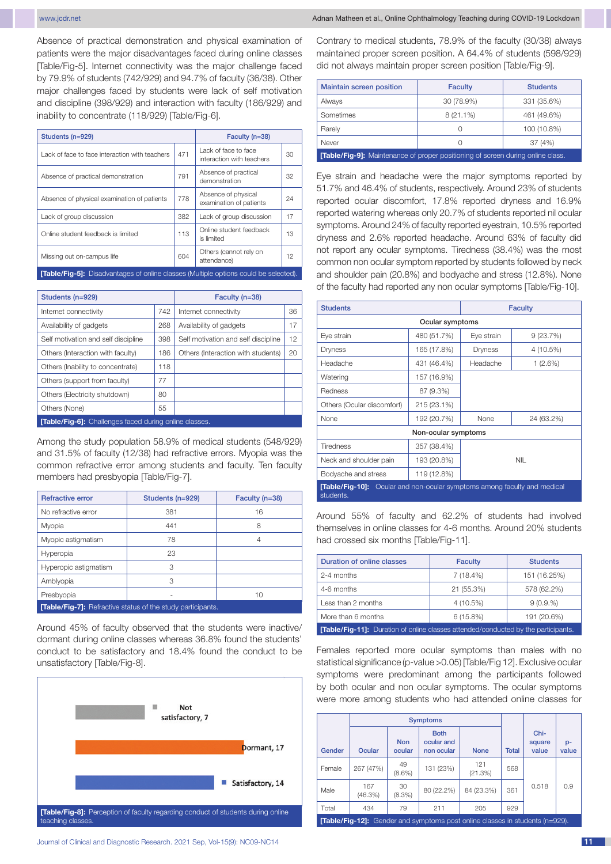Absence of practical demonstration and physical examination of patients were the major disadvantages faced during online classes [Table/Fig-5]. Internet connectivity was the major challenge faced by 79.9% of students (742/929) and 94.7% of faculty (36/38). Other major challenges faced by students were lack of self motivation and discipline (398/929) and interaction with faculty (186/929) and inability to concentrate (118/929) [Table/Fig-6].

| Students (n=929)                                                                            | Faculty (n=38) |                                                   |    |  |  |  |
|---------------------------------------------------------------------------------------------|----------------|---------------------------------------------------|----|--|--|--|
| I ack of face to face interaction with teachers                                             | 471            | Lack of face to face<br>interaction with teachers | 30 |  |  |  |
| Absence of practical demonstration                                                          | 791            | Absence of practical<br>demonstration             | 32 |  |  |  |
| Absence of physical examination of patients                                                 | 778            | Absence of physical<br>examination of patients    | 24 |  |  |  |
| Lack of group discussion                                                                    | 382            | Lack of group discussion                          | 17 |  |  |  |
| Online student feedback is limited                                                          | 113            | Online student feedback<br>is limited             | 13 |  |  |  |
| Missing out on-campus life                                                                  | 604            | Others (cannot rely on<br>attendance)             | 12 |  |  |  |
| <b>[Table/Fig-5]:</b> Disadvantages of online classes (Multiple options could be selected). |                |                                                   |    |  |  |  |

| Students (n=929)                                              | Faculty (n=38) |                                     |    |  |  |
|---------------------------------------------------------------|----------------|-------------------------------------|----|--|--|
| Internet connectivity                                         | 742            | Internet connectivity               | 36 |  |  |
| Availability of gadgets                                       | 268            | Availability of gadgets             | 17 |  |  |
| Self motivation and self discipline                           | 398            | Self motivation and self discipline | 12 |  |  |
| Others (Interaction with faculty)                             | 186            | Others (Interaction with students)  | 20 |  |  |
| Others (Inability to concentrate)                             | 118            |                                     |    |  |  |
| Others (support from faculty)                                 | 77             |                                     |    |  |  |
| Others (Electricity shutdown)                                 | 80             |                                     |    |  |  |
| Others (None)                                                 | 55             |                                     |    |  |  |
| <b>[Table/Fig-6]:</b> Challenges faced during online classes. |                |                                     |    |  |  |

Among the study population 58.9% of medical students (548/929) and 31.5% of faculty (12/38) had refractive errors. Myopia was the common refractive error among students and faculty. Ten faculty members had presbyopia [Table/Fig-7].

| <b>Refractive error</b>                                            | Students (n=929) | Faculty (n=38) |  |  |  |  |
|--------------------------------------------------------------------|------------------|----------------|--|--|--|--|
| No refractive error                                                | 381              | 16             |  |  |  |  |
| Myopia                                                             | 441              | 8              |  |  |  |  |
| Myopic astigmatism                                                 | 78               | 4              |  |  |  |  |
| Hyperopia                                                          | 23               |                |  |  |  |  |
| Hyperopic astigmatism                                              | З                |                |  |  |  |  |
| Amblyopia                                                          | З                |                |  |  |  |  |
| Presbyopia                                                         |                  | 10             |  |  |  |  |
| <b>[Table/Fig-7]:</b> Refractive status of the study participants. |                  |                |  |  |  |  |

Around 45% of faculty observed that the students were inactive/ dormant during online classes whereas 36.8% found the students' conduct to be satisfactory and 18.4% found the conduct to be unsatisfactory [Table/Fig-8].



Contrary to medical students, 78.9% of the faculty (30/38) always maintained proper screen position. A 64.4% of students (598/929) did not always maintain proper screen position [Table/Fig-9].

| <b>Maintain screen position</b>                                                        | <b>Faculty</b>   | <b>Students</b> |  |  |
|----------------------------------------------------------------------------------------|------------------|-----------------|--|--|
| Always                                                                                 | 30 (78.9%)       | 331 (35.6%)     |  |  |
| Sometimes                                                                              | $8(21.1\%)$      | 461 (49.6%)     |  |  |
| Rarely                                                                                 | Ω                | 100 (10.8%)     |  |  |
| Never                                                                                  | $\left( \right)$ | 37(4%)          |  |  |
| <b>[Table/Fig-9]:</b> Maintenance of proper positioning of screen during online class. |                  |                 |  |  |

Eye strain and headache were the major symptoms reported by 51.7% and 46.4% of students, respectively. Around 23% of students reported ocular discomfort, 17.8% reported dryness and 16.9% reported watering whereas only 20.7% of students reported nil ocular symptoms. Around 24% of faculty reported eyestrain, 10.5% reported dryness and 2.6% reported headache. Around 63% of faculty did not report any ocular symptoms. Tiredness (38.4%) was the most common non ocular symptom reported by students followed by neck and shoulder pain (20.8%) and bodyache and stress (12.8%). None of the faculty had reported any non ocular symptoms [Table/Fig-10].

| <b>Students</b>                                                                              |                     |                    | <b>Faculty</b> |  |  |  |  |
|----------------------------------------------------------------------------------------------|---------------------|--------------------|----------------|--|--|--|--|
| Ocular symptoms                                                                              |                     |                    |                |  |  |  |  |
| Eye strain                                                                                   | 480 (51.7%)         | Eye strain         | 9(23.7%)       |  |  |  |  |
| Dryness                                                                                      | 165 (17.8%)         | Dryness            | 4 (10.5%)      |  |  |  |  |
| Headache                                                                                     | 431 (46.4%)         | Headache           | 1 (2.6%)       |  |  |  |  |
| Watering                                                                                     | 157 (16.9%)         |                    |                |  |  |  |  |
| Redness                                                                                      | 87 (9.3%)           |                    |                |  |  |  |  |
| Others (Ocular discomfort)                                                                   | 215 (23.1%)         |                    |                |  |  |  |  |
| None                                                                                         | 192 (20.7%)         | None<br>24 (63.2%) |                |  |  |  |  |
|                                                                                              | Non-ocular symptoms |                    |                |  |  |  |  |
| <b>Tiredness</b>                                                                             | 357 (38.4%)         |                    |                |  |  |  |  |
| Neck and shoulder pain                                                                       | 193 (20.8%)         |                    | <b>NIL</b>     |  |  |  |  |
| Bodyache and stress                                                                          | 119 (12.8%)         |                    |                |  |  |  |  |
| <b>[Table/Fig-10]:</b> Ocular and non-ocular symptoms among faculty and medical<br>students. |                     |                    |                |  |  |  |  |

Around 55% of faculty and 62.2% of students had involved themselves in online classes for 4-6 months. Around 20% students had crossed six months [Table/Fig-11].

| <b>Duration of online classes</b>                                                         | <b>Faculty</b> | <b>Students</b> |  |  |  |
|-------------------------------------------------------------------------------------------|----------------|-----------------|--|--|--|
| 2-4 months                                                                                | $7(18.4\%)$    | 151 (16.25%)    |  |  |  |
| 4-6 months                                                                                | 21 (55.3%)     | 578 (62.2%)     |  |  |  |
| Less than 2 months                                                                        | 4 (10.5%)      | 9(0.9.%)        |  |  |  |
| More than 6 months                                                                        | $6(15.8\%)$    | 191 (20.6%)     |  |  |  |
| <b>[Table/Fig-11]:</b> Duration of online classes attended/conducted by the participants. |                |                 |  |  |  |

Females reported more ocular symptoms than males with no statistical significance (p-value >0.05) [Table/Fig 12]. Exclusive ocular symptoms were predominant among the participants followed by both ocular and non ocular symptoms. The ocular symptoms were more among students who had attended online classes for

|        |                                                                                     |                      | <b>Symptoms</b>                         |                |              |                         |               |
|--------|-------------------------------------------------------------------------------------|----------------------|-----------------------------------------|----------------|--------------|-------------------------|---------------|
| Gender | <b>Ocular</b>                                                                       | <b>Non</b><br>ocular | <b>Both</b><br>ocular and<br>non ocular | <b>None</b>    | <b>Total</b> | Chi-<br>square<br>value | $p-$<br>value |
| Female | 267 (47%)                                                                           | 49<br>$(8.6\%)$      | 131 (23%)                               | 121<br>(21.3%) | 568          |                         |               |
| Male   | 167<br>(46.3%)                                                                      | 30<br>(8.3%)         | 80 (22.2%)                              | 84 (23.3%)     | 361          | 0.518                   | 0.9           |
| Total  | 434                                                                                 | 79                   | 211                                     | 205            | 929          |                         |               |
|        | <b>[Table/Fig-12]:</b> Gender and symptoms post online classes in students (n=929). |                      |                                         |                |              |                         |               |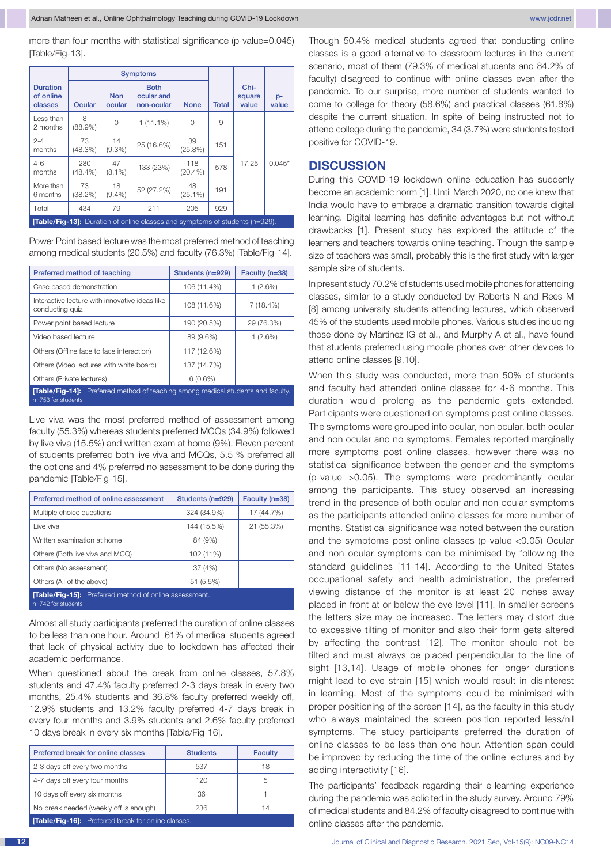more than four months with statistical significance (p-value=0.045) [Table/Fig-13].

|                                         |                                                                                     |                      | <b>Symptoms</b>                         |                   |              |                         |             |
|-----------------------------------------|-------------------------------------------------------------------------------------|----------------------|-----------------------------------------|-------------------|--------------|-------------------------|-------------|
| <b>Duration</b><br>of online<br>classes | Ocular                                                                              | <b>Non</b><br>ocular | <b>Both</b><br>ocular and<br>non-ocular | <b>None</b>       | <b>Total</b> | Chi-<br>square<br>value | p-<br>value |
| Less than<br>2 months                   | 8<br>$(88.9\%)$                                                                     | 0                    | $1(11.1\%)$                             | 0                 | 9            |                         |             |
| $2 - 4$<br>months                       | 73<br>(48.3%)                                                                       | 14<br>$(9.3\%)$      | 25 (16.6%)                              | 39<br>$(25.8\%)$  | 151          |                         |             |
| $4 - 6$<br>months                       | 280<br>$(48.4\%)$                                                                   | 47<br>$(8.1\%)$      | 133 (23%)                               | 118<br>$(20.4\%)$ | 578          | 17.25                   | $0.045*$    |
| More than<br>6 months                   | 73<br>(38.2%)                                                                       | 18<br>$(9.4\%)$      | 52 (27.2%)                              | 48<br>$(25.1\%)$  | 191          |                         |             |
| Total                                   | 434                                                                                 | 79                   | 211                                     | 205               | 929          |                         |             |
|                                         | <b>[Table/Fig-13]:</b> Duration of online classes and symptoms of students (n=929). |                      |                                         |                   |              |                         |             |

Power Point based lecture was the most preferred method of teaching among medical students (20.5%) and faculty (76.3%) [Table/Fig-14].

| Preferred method of teaching                                                                                    | Students (n=929) | Faculty (n=38) |
|-----------------------------------------------------------------------------------------------------------------|------------------|----------------|
| Case based demonstration                                                                                        | 106 (11.4%)      | 1 (2.6%)       |
| Interactive lecture with innovative ideas like<br>conducting quiz                                               | 108 (11.6%)      | 7 (18.4%)      |
| Power point based lecture                                                                                       | 190 (20.5%)      | 29 (76.3%)     |
| Video based lecture                                                                                             | 89 (9.6%)        | $1(2.6\%)$     |
| Others (Offline face to face interaction)                                                                       | 117 (12.6%)      |                |
| Others (Video lectures with white board)                                                                        | 137 (14.7%)      |                |
| Others (Private lectures)                                                                                       | $6(0.6\%)$       |                |
| <b>[Table/Fig-14]:</b> Preferred method of teaching among medical students and faculty.<br>$n=753$ for students |                  |                |

Live viva was the most preferred method of assessment among faculty (55.3%) whereas students preferred MCQs (34.9%) followed by live viva (15.5%) and written exam at home (9%). Eleven percent of students preferred both live viva and MCQs, 5.5 % preferred all the options and 4% preferred no assessment to be done during the pandemic [Table/Fig-15].

| Preferred method of online assessment                                                | Students (n=929) | Faculty (n=38) |  |  |  |  |
|--------------------------------------------------------------------------------------|------------------|----------------|--|--|--|--|
| Multiple choice questions                                                            | 324 (34.9%)      | 17 (44.7%)     |  |  |  |  |
| Live viva                                                                            | 144 (15.5%)      | 21 (55.3%)     |  |  |  |  |
| Written examination at home                                                          | 84 (9%)          |                |  |  |  |  |
| Others (Both live viva and MCQ)                                                      | 102 (11%)        |                |  |  |  |  |
| Others (No assessment)                                                               | 37 (4%)          |                |  |  |  |  |
| Others (All of the above)                                                            | 51 (5.5%)        |                |  |  |  |  |
| <b>Table/Fig-15]:</b> Preferred method of online assessment.<br>$n=742$ for students |                  |                |  |  |  |  |

Almost all study participants preferred the duration of online classes to be less than one hour. Around 61% of medical students agreed that lack of physical activity due to lockdown has affected their academic performance.

When questioned about the break from online classes, 57.8% students and 47.4% faculty preferred 2-3 days break in every two months, 25.4% students and 36.8% faculty preferred weekly off, 12.9% students and 13.2% faculty preferred 4-7 days break in every four months and 3.9% students and 2.6% faculty preferred 10 days break in every six months [Table/Fig-16].

| Preferred break for online classes                        | <b>Students</b> | <b>Faculty</b> |
|-----------------------------------------------------------|-----------------|----------------|
| 2-3 days off every two months                             | 537             | 18             |
| 4-7 days off every four months                            | 120             | 5              |
| 10 days off every six months                              | 36              |                |
| No break needed (weekly off is enough)                    | 236             | 14             |
| <b>Table/Fig-16]:</b> Preferred break for online classes. |                 |                |

Though 50.4% medical students agreed that conducting online classes is a good alternative to classroom lectures in the current scenario, most of them (79.3% of medical students and 84.2% of faculty) disagreed to continue with online classes even after the pandemic. To our surprise, more number of students wanted to come to college for theory (58.6%) and practical classes (61.8%) despite the current situation. In spite of being instructed not to attend college during the pandemic, 34 (3.7%) were students tested positive for COVID-19.

## **DISCUSSION**

During this COVID-19 lockdown online education has suddenly become an academic norm [1]. Until March 2020, no one knew that India would have to embrace a dramatic transition towards digital learning. Digital learning has definite advantages but not without drawbacks [1]. Present study has explored the attitude of the learners and teachers towards online teaching. Though the sample size of teachers was small, probably this is the first study with larger sample size of students.

In present study 70.2% of students used mobile phones for attending classes, similar to a study conducted by Roberts N and Rees M [8] among university students attending lectures, which observed 45% of the students used mobile phones. Various studies including those done by Martinez IG et al., and Murphy A et al., have found that students preferred using mobile phones over other devices to attend online classes [9,10].

When this study was conducted, more than 50% of students and faculty had attended online classes for 4-6 months. This duration would prolong as the pandemic gets extended. Participants were questioned on symptoms post online classes. The symptoms were grouped into ocular, non ocular, both ocular and non ocular and no symptoms. Females reported marginally more symptoms post online classes, however there was no statistical significance between the gender and the symptoms (p-value >0.05). The symptoms were predominantly ocular among the participants. This study observed an increasing trend in the presence of both ocular and non ocular symptoms as the participants attended online classes for more number of months. Statistical significance was noted between the duration and the symptoms post online classes (p-value <0.05) Ocular and non ocular symptoms can be minimised by following the standard guidelines [11-14]. According to the United States occupational safety and health administration, the preferred viewing distance of the monitor is at least 20 inches away placed in front at or below the eye level [11]. In smaller screens the letters size may be increased. The letters may distort due to excessive tilting of monitor and also their form gets altered by affecting the contrast [12]. The monitor should not be tilted and must always be placed perpendicular to the line of sight [13,14]. Usage of mobile phones for longer durations might lead to eye strain [15] which would result in disinterest in learning. Most of the symptoms could be minimised with proper positioning of the screen [14], as the faculty in this study who always maintained the screen position reported less/nil symptoms. The study participants preferred the duration of online classes to be less than one hour. Attention span could be improved by reducing the time of the online lectures and by adding interactivity [16].

The participants' feedback regarding their e-learning experience during the pandemic was solicited in the study survey. Around 79% of medical students and 84.2% of faculty disagreed to continue with online classes after the pandemic.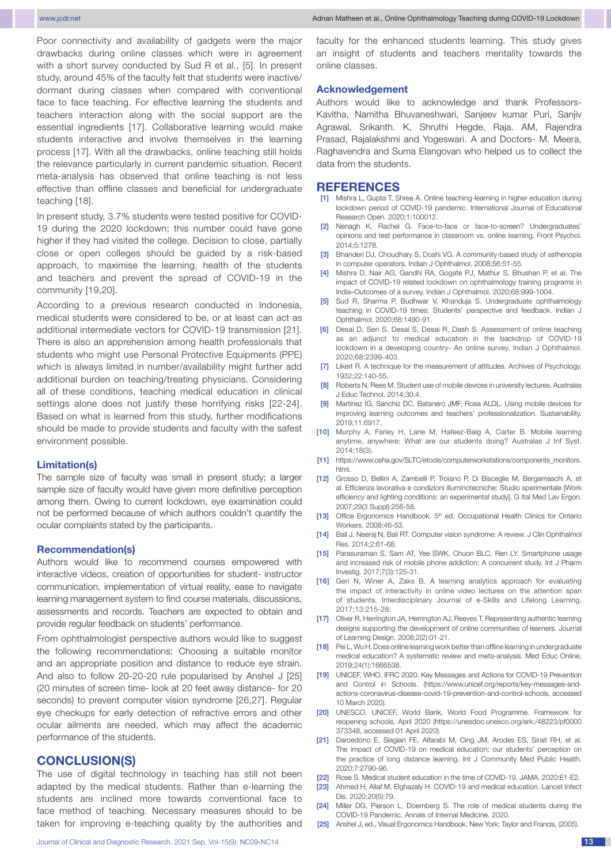Poor connectivity and availability of gadgets were the major drawbacks during online classes which were in agreement with a short survey conducted by Sud R et al., [5]. In present study, around 45% of the faculty felt that students were inactive/ dormant during classes when compared with conventional face to face teaching. For effective learning the students and teachers interaction along with the social support are the essential ingredients [17]. Collaborative learning would make students interactive and involve themselves in the learning process [17]. With all the drawbacks, online teaching still holds the relevance particularly in current pandemic situation. Recent meta-analysis has observed that online teaching is not less effective than offline classes and beneficial for undergraduate teaching [18].

In present study, 3.7% students were tested positive for COVID-19 during the 2020 lockdown; this number could have gone higher if they had visited the college. Decision to close, partially close or open colleges should be guided by a risk-based approach, to maximise the learning, health of the students and teachers and prevent the spread of COVID-19 in the community [19,20].

According to a previous research conducted in Indonesia, medical students were considered to be, or at least can act as additional intermediate vectors for COVID-19 transmission [21]. There is also an apprehension among health professionals that students who might use Personal Protective Equipments (PPE) which is always limited in number/availability might further add additional burden on teaching/treating physicians. Considering all of these conditions, teaching medical education in clinical settings alone does not justify these horrifying risks [22-24]. Based on what is learned from this study, further modifications should be made to provide students and faculty with the safest environment possible.

#### **Limitation(s)**

The sample size of faculty was small in present study; a larger sample size of faculty would have given more definitive perception among them. Owing to current lockdown, eye examination could not be performed because of which authors couldn't quantify the ocular complaints stated by the participants.

#### **Recommendation(s)**

Authors would like to recommend courses empowered with interactive videos, creation of opportunities for student- instructor communication, implementation of virtual reality, ease to navigate learning management system to find course materials, discussions, assessments and records. Teachers are expected to obtain and provide regular feedback on students' performance.

From ophthalmologist perspective authors would like to suggest the following recommendations: Choosing a suitable monitor and an appropriate position and distance to reduce eye strain. And also to follow 20-20-20 rule popularised by Anshel J [25] (20 minutes of screen time- look at 20 feet away distance- for 20 seconds) to prevent computer vision syndrome [26,27]. Regular eye checkups for early detection of refractive errors and other ocular ailments are needed, which may affect the academic performance of the students.

# **CONCLUSION(S)**

The use of digital technology in teaching has still not been adapted by the medical students. Rather than e-learning the students are inclined more towards conventional face to face method of teaching. Necessary measures should to be taken for improving e-teaching quality by the authorities and faculty for the enhanced students learning. This study gives an insight of students and teachers mentality towards the online classes.

#### **Acknowledgement**

Authors would like to acknowledge and thank Professors-Kavitha, Namitha Bhuvaneshwari, Sanjeev kumar Puri, Sanjiv Agrawal, Srikanth. K, Shruthi Hegde, Raja. AM, Rajendra Prasad, Rajalakshmi and Yogeswari. A and Doctors- M. Meera, Raghavendra and Suma Elangovan who helped us to collect the data from the students.

## **REFERENCES**

- [1] Mishra L, Gupta T, Shree A. Online teaching-learning in higher education during lockdown period of COVID-19 pandemic. International Journal of Educational Research Open. 2020;1:100012.
- [2] Nenagh K, Rachel G. Face-to-face or face-to-screen? Undergraduates' opinions and test performance in classroom vs. online learning. Front Psychol. 2014;5:1278.
- [3] Bhanderi DJ, Choudhary S, Doshi VG. A community-based study of asthenopia in computer operators. Indian J Ophthalmol. 2008;56:51-55.
- [4] Mishra D, Nair AG, Gandhi RA, Gogate PJ, Mathur S, Bhushan P, et al. The impact of COVID-19 related lockdown on ophthalmology training programs in India–Outcomes of a survey. Indian J Ophthalmol. 2020;68:999-1004.
- [5] Sud R, Sharma P, Budhwar V, Khanduja S. Undergraduate ophthalmology teaching in COVID-19 times: Students' perspective and feedback. Indian J Ophthalmol. 2020;68:1490-91.
- [6] Desai D, Sen S, Desai S, Desai R, Dash S. Assessment of online teaching as an adjunct to medical education in the backdrop of COVID-19 lockdown in a developing country- An online survey. Indian J Ophthalmol. 2020;68:2399-403.
- [7] Likert R. A technique for the measurement of attitudes. Archives of Psychology. 1932;22:140-55.
- [8] Roberts N, Rees M. Student use of mobile devices in university lectures. Australas J Educ Technol. 2014;30:4.
- [9] Martinez IG, Sanchiz DC, Batanero JMF, Rosa ALDL. Using mobile devices for improving learning outcomes and teachers' professionalization. Sustainability. 2019;11:6917.
- [10] Murphy A, Farley H, Lane M, Hafeez-Baig A, Carter B. Mobile learning anytime, anywhere: What are our students doing? Australas J Inf Syst. 2014;18(3).
- [11] https://www.osha.gov/SLTC/etools/computerworkstations/components\_monitors. html.
- [12] Grosso D, Bellini A, Zambelli P, Troiano P, Di Bisceglie M, Bergamaschi A, et al. Efficienza lavorativa e condizioni illuminotecniche: Studio sperimentale [Work efficiency and lighting conditions: an experimental study]. G Ital Med Lav Ergon. 2007;29(3 Suppl):256-58.
- [13] Office Ergonomics Handbook. 5<sup>th</sup> ed. Occupational Health Clinics for Ontario Workers. 2008:46-53.
- [14] Bali J, Neeraj N, Bali RT. Computer vision syndrome: A review. J Clin Ophthalmol Res. 2014;2:61-68.
- [15] Parasuraman S, Sam AT, Yee SWK, Chuon BLC, Ren LY. Smartphone usage and increased risk of mobile phone addiction: A concurrent study. Int J Pharm Investig. 2017;7(3):125-31.
- [16] Geri N, Winer A, Zaks B. A learning analytics approach for evaluating the impact of interactivity in online video lectures on the attention span of students. Interdisciplinary Journal of e-Skills and Lifelong Learning. 2017;13:215-28.
- [17] Oliver R, Herrington JA, Herrington AJ, Reeves T. Representing authentic learning designs supporting the development of online communities of learners. Journal of Learning Design. 2008;2(2):01-21.
- [18] Pei L, Wu H. Does online learning work better than offline learning in undergraduate medical education? A systematic review and meta-analysis. Med Educ Online. 2019;24(1):1666538.
- [19] UNICEF, WHO, IFRC 2020. Key Messages and Actions for COVID-19 Prevention and Control in Schools. (https://www.unicef.org/reports/key-messages-andactions-coronavirus-disease-covid-19-prevention-and-control-schools, accessed 10 March 2020).
- [20] UNESCO, UNICEF, World Bank, World Food Programme. Framework for reopening schools, April 2020 (https://unesdoc.unesco.org/ark:/48223/pf0000 373348, accessed 01 April 2020).
- [21] Daroedono E, Siagian FE, Alfarabi M, Cing JM, Arodes ES, Sirait RH, et al. The impact of COVID-19 on medical education: our students' perception on the practice of long distance learning. Int J Community Med Public Health. 2020;7:2790-96.
- [22] Rose S. Medical student education in the time of COVID-19. JAMA. 2020:E1-E2. [23] Ahmed H, Allaf M, Elghazaly H. COVID-19 and medical education. Lancet Infect Dis. 2020;20(5):79.
- [24] Miller DG, Pierson L, Doernberg S. The role of medical students during the COVID-19 Pandemic. Annals of Internal Medicine. 2020.
- [25] Anshel J, ed., Visual Ergonomics Handbook. New York: Taylor and Francis, (2005).